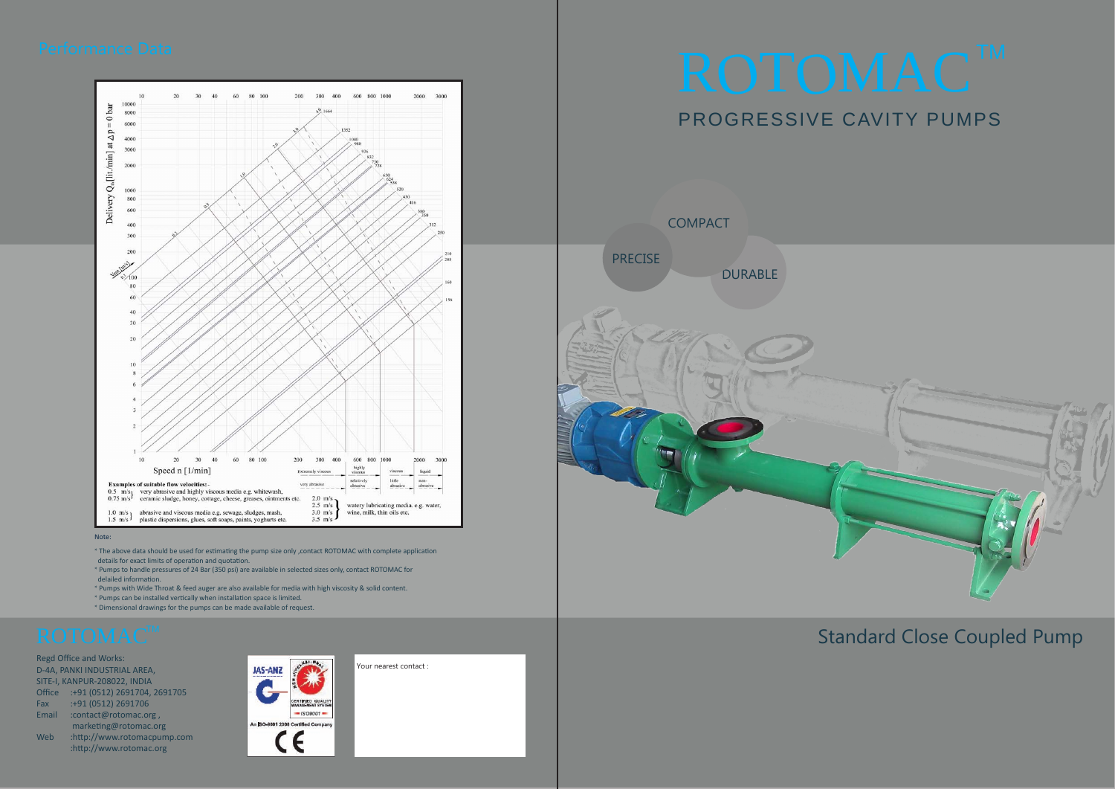Regd Office and Works: D-4A, PANKI INDUSTRIAL AREA, SITE-I, KANPUR-208022, INDIA Office :+91 (0512) 2691704, 2691705 Fax :+91 (0512) 2691706 Email :contact@rotomac.org , marketing@rotomac.org Web :http://www.rotomacpump.com :http://www.rotomac.org





#### Note:

DURABLE **PRECISE COMPACT** 



- \* The above data should be used for estimating the pump size only ,contact ROTOMAC with complete application details for exact limits of operation and quotation.
- \* Pumps to handle pressures of 24 Bar (350 psi) are available in selected sizes only, contact ROTOMAC for delailed information.
- \* Pumps with Wide Throat & feed auger are also available for media with high viscosity & solid content.
- \* Pumps can be installed vertically when installation space is limited.
- \* Dimensional drawings for the pumps can be made available of request.

# PROGRESSIVE CAVITY PUMPS



# Standard Close Coupled Pump